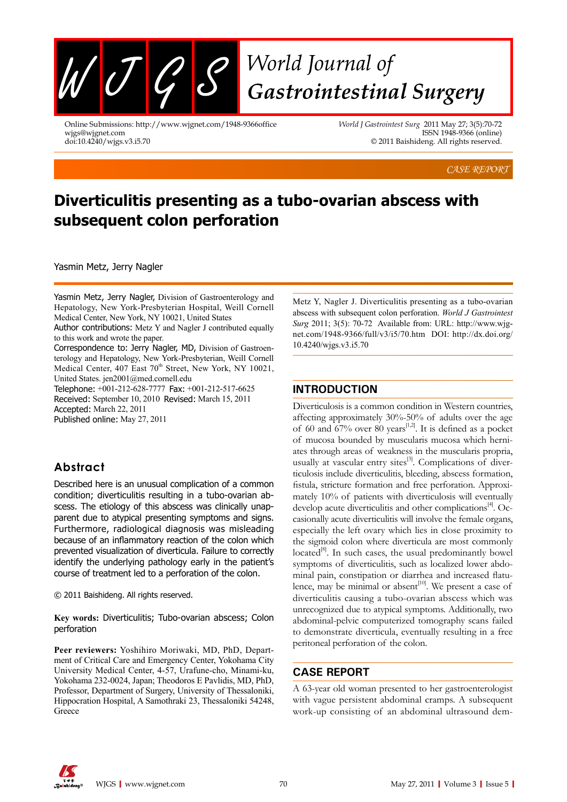

Online Submissions: http://www.wjgnet.com/1948-9366office wjgs@wjgnet.com doi:10.4240/wjgs.v3.i5.70

*World J Gastrointest Surg* 2011 May 27; 3(5):70-72 ISSN 1948-9366 (online) © 2011 Baishideng. All rights reserved.

*CASE REPORT*

# **Diverticulitis presenting as a tubo-ovarian abscess with subsequent colon perforation**

Yasmin Metz, Jerry Nagler

Yasmin Metz, Jerry Nagler, Division of Gastroenterology and Hepatology, New York-Presbyterian Hospital, Weill Cornell Medical Center, New York, NY 10021, United States

Author contributions: Metz Y and Nagler J contributed equally to this work and wrote the paper.

Correspondence to: Jerry Nagler, MD, Division of Gastroenterology and Hepatology, New York-Presbyterian, Weill Cornell Medical Center, 407 East 70<sup>th</sup> Street, New York, NY 10021, United States. jen2001@med.cornell.edu

Telephone: +001-212-628-7777 Fax: +001-212-517-6625 Received: September 10, 2010 Revised: March 15, 2011 Accepted: March 22, 2011 Published online: May 27, 2011

## **Abstract**

Described here is an unusual complication of a common condition; diverticulitis resulting in a tubo-ovarian abscess. The etiology of this abscess was clinically unapparent due to atypical presenting symptoms and signs. Furthermore, radiological diagnosis was misleading because of an inflammatory reaction of the colon which prevented visualization of diverticula. Failure to correctly identify the underlying pathology early in the patient's course of treatment led to a perforation of the colon.

© 2011 Baishideng. All rights reserved.

**Key words:** Diverticulitis; Tubo-ovarian abscess; Colon perforation

**Peer reviewers:** Yoshihiro Moriwaki, MD, PhD, Department of Critical Care and Emergency Center, Yokohama City University Medical Center, 4-57, Urafune-cho, Minami-ku, Yokohama 232-0024, Japan; Theodoros E Pavlidis, MD, PhD, Professor, Department of Surgery, University of Thessaloniki, Hippocration Hospital, A Samothraki 23, Thessaloniki 54248, **Greece** 

Metz Y, Nagler J. Diverticulitis presenting as a tubo-ovarian abscess with subsequent colon perforation. *World J Gastrointest Surg* 2011; 3(5): 70-72 Available from: URL: http://www.wjgnet.com/1948-9366/full/v3/i5/70.htm DOI: http://dx.doi.org/ 10.4240/wjgs.v3.i5.70

#### **INTRODUCTION**

Diverticulosis is a common condition in Western countries, affecting approximately 30%-50% of adults over the age of 60 and 67% over 80 years<sup>[1,2]</sup>. It is defined as a pocket of mucosa bounded by muscularis mucosa which herniates through areas of weakness in the muscularis propria, usually at vascular entry sites $^{[3]}$ . Complications of diverticulosis include diverticulitis, bleeding, abscess formation, fistula, stricture formation and free perforation. Approximately 10% of patients with diverticulosis will eventually develop acute diverticulitis and other complications<sup>[4]</sup>. Occasionally acute diverticulitis will involve the female organs, especially the left ovary which lies in close proximity to the sigmoid colon where diverticula are most commonly located $\mathbb{R}^8$ . In such cases, the usual predominantly bowel symptoms of diverticulitis, such as localized lower abdominal pain, constipation or diarrhea and increased flatulence, may be minimal or absent $[10]$ . We present a case of diverticulitis causing a tubo-ovarian abscess which was unrecognized due to atypical symptoms. Additionally, two abdominal-pelvic computerized tomography scans failed to demonstrate diverticula, eventually resulting in a free peritoneal perforation of the colon.

#### **CASE REPORT**

A 63-year old woman presented to her gastroenterologist with vague persistent abdominal cramps. A subsequent work-up consisting of an abdominal ultrasound dem-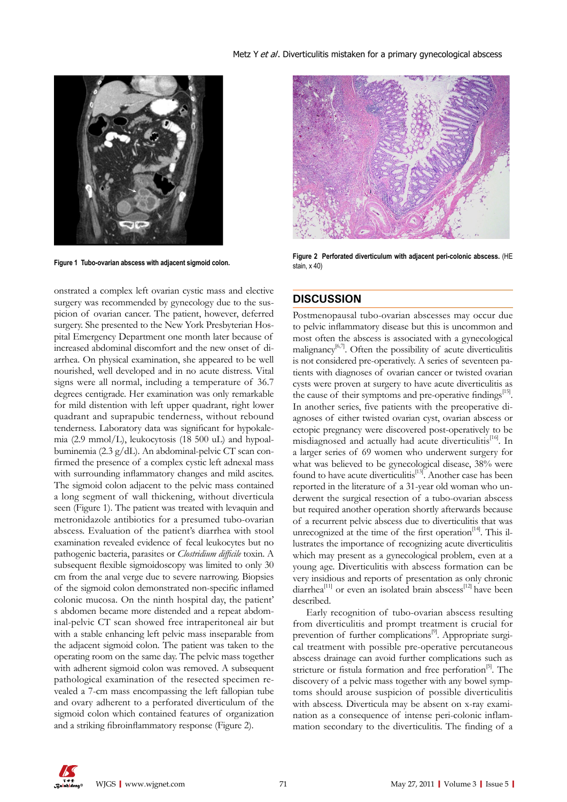

onstrated a complex left ovarian cystic mass and elective surgery was recommended by gynecology due to the suspicion of ovarian cancer. The patient, however, deferred surgery. She presented to the New York Presbyterian Hospital Emergency Department one month later because of increased abdominal discomfort and the new onset of diarrhea. On physical examination, she appeared to be well nourished, well developed and in no acute distress. Vital signs were all normal, including a temperature of 36.7 degrees centigrade. Her examination was only remarkable for mild distention with left upper quadrant, right lower quadrant and suprapubic tenderness, without rebound tenderness. Laboratory data was significant for hypokalemia (2.9 mmol/L), leukocytosis (18 500 uL) and hypoalbuminemia (2.3 g/dL). An abdominal-pelvic CT scan confirmed the presence of a complex cystic left adnexal mass with surrounding inflammatory changes and mild ascites. The sigmoid colon adjacent to the pelvic mass contained a long segment of wall thickening, without diverticula seen (Figure 1). The patient was treated with levaquin and metronidazole antibiotics for a presumed tubo-ovarian abscess. Evaluation of the patient's diarrhea with stool examination revealed evidence of fecal leukocytes but no pathogenic bacteria, parasites or *Clostridium difficile* toxin. A subsequent flexible sigmoidoscopy was limited to only 30 cm from the anal verge due to severe narrowing. Biopsies of the sigmoid colon demonstrated non-specific inflamed colonic mucosa. On the ninth hospital day, the patient' s abdomen became more distended and a repeat abdominal-pelvic CT scan showed free intraperitoneal air but with a stable enhancing left pelvic mass inseparable from the adjacent sigmoid colon. The patient was taken to the operating room on the same day. The pelvic mass together with adherent sigmoid colon was removed. A subsequent pathological examination of the resected specimen revealed a 7-cm mass encompassing the left fallopian tube and ovary adherent to a perforated diverticulum of the sigmoid colon which contained features of organization and a striking fibroinflammatory response (Figure 2).



**Figure 1 Tubo-ovarian abscess with adjacent sigmoid colon. Figure 2 Perforated diverticulum with adjacent peri-colonic abscess.** (HE stain, x 40)

#### **DISCUSSION**

Postmenopausal tubo-ovarian abscesses may occur due to pelvic inflammatory disease but this is uncommon and most often the abscess is associated with a gynecological malignancy<sup>[6,7]</sup>. Often the possibility of acute diverticulitis is not considered pre-operatively. A series of seventeen patients with diagnoses of ovarian cancer or twisted ovarian cysts were proven at surgery to have acute diverticulitis as the cause of their symptoms and pre-operative findings<sup>[15]</sup>. In another series, five patients with the preoperative diagnoses of either twisted ovarian cyst, ovarian abscess or ectopic pregnancy were discovered post-operatively to be misdiagnosed and actually had acute diverticulitis<sup>[16]</sup>. In a larger series of 69 women who underwent surgery for what was believed to be gynecological disease, 38% were found to have acute diverticulitis<sup>[13]</sup>. Another case has been reported in the literature of a 31-year old woman who underwent the surgical resection of a tubo-ovarian abscess but required another operation shortly afterwards because of a recurrent pelvic abscess due to diverticulitis that was unrecognized at the time of the first operation<sup>[14]</sup>. This illustrates the importance of recognizing acute diverticulitis which may present as a gynecological problem, even at a young age. Diverticulitis with abscess formation can be very insidious and reports of presentation as only chronic diarrhea<sup>[11]</sup> or even an isolated brain abscess<sup>[12]</sup> have been described.

Early recognition of tubo-ovarian abscess resulting from diverticulitis and prompt treatment is crucial for prevention of further complications<sup>[9]</sup>. Appropriate surgical treatment with possible pre-operative percutaneous abscess drainage can avoid further complications such as stricture or fistula formation and free perforation<sup>[5]</sup>. The discovery of a pelvic mass together with any bowel symptoms should arouse suspicion of possible diverticulitis with abscess. Diverticula may be absent on x-ray examination as a consequence of intense peri-colonic inflammation secondary to the diverticulitis. The finding of a